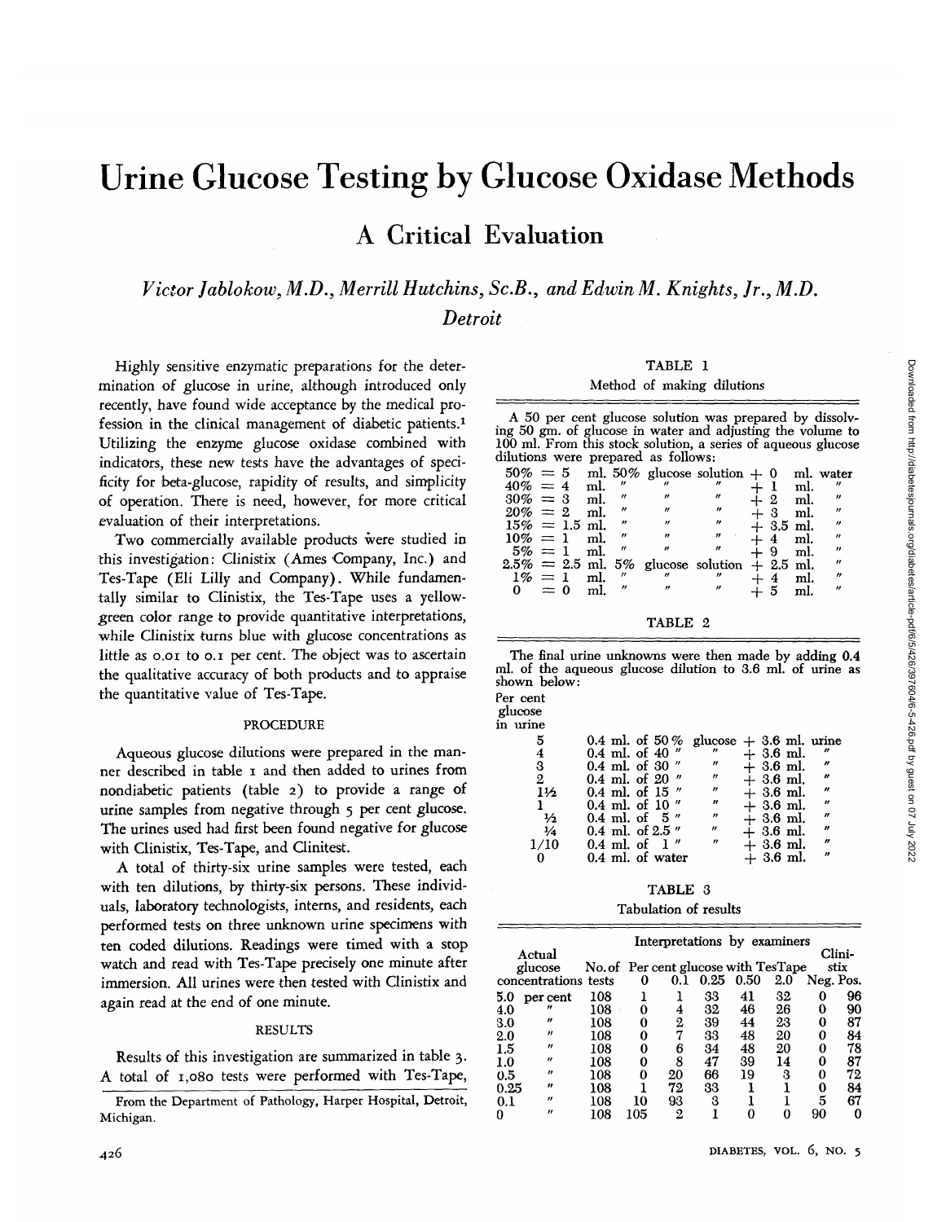# Urine Glucose Testing by Glucose Oxidase Methods A Critical Evaluation

*Victor Jablokow, M.D., Merrill Hutchins, Sc.B., and Edwin M. Knights, Jr., M.D. Detroit*

 $\tilde{\mathbf{n}}$ 

Highly sensitive en2ymatic preparations for the determination of glucose in urine, although introduced only recently, have found wide acceptance by the medical profession in the clinical management of diabetic patients.<sup>1</sup> Utilizing the enzyme glucose oxidase combined with indicators, these new tests have the advantages of specificity for beta-glucose, rapidity of results, and simplicity of operation. There is need, however, for more critical evaluation of their interpretations.

Two commercially available products were studied in this investigation: Clinistix (Ames Company, Inc.) and Tes-Tape (Eli Lilly and Company). While fundamentally similar to Clinistix, the Tes-Tape uses a yellowgreen color range to provide quantitative interpretations, while Clinistix turns blue with glucose concentrations as little as 0.01 to 0.1 per cent. The object was to ascertain the qualitative accuracy of both products and to appraise the quantitative value of Tes-Tape.

## PROCEDURE

Aqueous glucose dilutions were prepared in the manner described in table i and then added to urines from nondiabetic patients (table 2) to provide a range of urine samples from negative through 5 per cent glucose. The urines used had first been found negative for glucose with Clinistix, Tes-Tape, and Clinitest.

A total of thirty-six urine samples were tested, each with ten dilutions, by thirty-six persons. These individuals, laboratory technologists, interns, and residents, each performed tests on three unknown urine specimens with ten coded dilutions. Readings were timed with a stop watch and read with Tes-Tape precisely one minute after immersion. All urines were then tested with Clinistix and again read at the end of one minute.

#### RESULTS

Results of this investigation are summarized in table 3. A total of 1,080 tests were performed with Tes-Tape,

### TABLE 1

#### Method of making dilutions

A 50 per cent glucose solution was prepared by dissolv- ing 50 gm. of glucose in water and adjusting the volume to 100 ml. From this stock solution, a series of aqueous glucose dilutions were prepared as follows:

| $50\% = 5$<br>$40\% = 4$<br>$30\% = 3$<br>$20\% = 2$<br>$15\% = 1.5$ ml.<br>$10\% = 1$ ml. |  | ml.<br>ml.<br>ml. | $\mathbf{v}$<br>$^{\prime\prime}$<br>"<br>$^{\prime\prime}$<br>$^{\prime\prime}$ | $\overline{ }$    | ml. 50% glucose solution $+ 0$ ml. water<br>$^{\prime\prime}$<br>$^{\prime\prime}$<br>$^{\prime\prime}$ |              | $+2$<br>$+3$<br>$+3.5$ ml.<br>$+4$ | ml.<br>ml.<br>ml.<br>ml. | $^{\prime\prime}$<br>"<br>$\boldsymbol{\prime\prime}$<br>$^{\prime\prime}$<br>$^{\prime\prime}$ |
|--------------------------------------------------------------------------------------------|--|-------------------|----------------------------------------------------------------------------------|-------------------|---------------------------------------------------------------------------------------------------------|--------------|------------------------------------|--------------------------|-------------------------------------------------------------------------------------------------|
| $5\% = 1$ ml.<br>$1\% = 1$<br>$0 = 0$                                                      |  | ml.<br>ml.        | $^{\prime\prime}$<br>$^{\prime\prime}$                                           | $^{\prime\prime}$ | $2.5\% = 2.5$ ml. 5% glucose solution $+ 2.5$ ml.<br>"<br>$^{\prime\prime}$                             | $+9$<br>$+4$ | - 5                                | ml.<br>ml.<br>ml.        | "<br>$^{\prime\prime}$<br>"<br>$^{\prime\prime}$                                                |

#### TABLE 2

The final urine unknowns were then made by adding 0.4 ml. of the aqueous glucose dilution to 3.6 ml. of urine as<br>shown below:<br>Per cent

| гег септ<br>glucose |                                         |                   |            |            |                             |
|---------------------|-----------------------------------------|-------------------|------------|------------|-----------------------------|
| in urine            |                                         |                   |            |            |                             |
| 5                   | 0.4 ml. of 50% glucose $+3.6$ ml. urine |                   |            |            |                             |
|                     | 0.4 ml. of 40 $''$                      | $^{\prime\prime}$ |            | $+3.6$ ml. | n                           |
| 3                   | 0.4 ml. of 30 $''$                      | $^{\prime\prime}$ |            | $+3.6$ ml. | n                           |
| $\overline{2}$      | 0.4 ml. of 20 $"$                       | $^{\prime\prime}$ | $+3.6$ ml. |            | $\boldsymbol{\prime\prime}$ |
| 1½                  | 0.4 ml. of 15 $''$                      | $\overline{''}$   |            | $+3.6$ ml. | $\boldsymbol{r}$            |
|                     | $0.4$ ml. of 10 $''$                    | $^{\prime\prime}$ |            | $+3.6$ ml. | $\boldsymbol{r}$            |
| ⅓                   | $0.4$ ml. of $5$ "                      | "                 | $+3.6$ ml. |            | $^{\prime\prime}$           |
| $\frac{1}{4}$       | 0.4 ml. of 2.5 $''$                     | n                 | $+3.6$ ml. |            | $^{\prime\prime}$           |
| 1/10                | $0.4$ ml. of 1"                         | "                 |            | $+3.6$ ml. | n                           |
|                     | 0.4 ml. of water                        |                   | $+3.6$ ml. |            | $\boldsymbol{u}$            |
|                     |                                         |                   |            |            |                             |

TABLE 3

## Tabulation of results

|          |                      |                                      |     |     |      | Interpretations by examiners |     |           |        |  |
|----------|----------------------|--------------------------------------|-----|-----|------|------------------------------|-----|-----------|--------|--|
|          | Actual               |                                      |     |     |      |                              |     |           | Clini- |  |
|          | glucose              | No. of Per cent glucose with TesTape |     |     |      |                              |     |           | stix   |  |
|          | concentrations tests |                                      | 0   | 0.1 | 0.25 | 0.50                         | 2.0 | Neg. Pos. |        |  |
| 5.0      | per cent             | 108                                  |     |     | 33   | 41                           | 32  |           | 96     |  |
| 4.0      | "                    | 108                                  |     | 4   | 32   | 46                           | 26  |           | 90     |  |
| 3.0      | ,,                   | 108                                  |     | 2   | 39   | 44                           | 23  |           | 87     |  |
| $2.0\,$  | "                    | 108                                  | 0   |     | 33   | 48                           | 20  |           | 84     |  |
| 1.5      | "                    | 108                                  |     | 6   | 34   | 48                           | 20  |           | 78     |  |
| $1.0\,$  | $^{\prime\prime}$    | 108                                  | 0   | 8   | 47   | 39                           | 14  |           | 87     |  |
| 0.5      | n                    | 108                                  |     | 20  | 66   | 19                           | 3   |           | 72     |  |
| $0.25\,$ | n                    | 108                                  |     | 72  | 33   |                              |     | 0         | 84     |  |
| 0.1      | "                    | 108                                  | 10  | 93  | 3    |                              |     | 5         | 67     |  |
| O        |                      | 108                                  | 105 | 9.  |      |                              |     | 90        |        |  |

From the Department of Pathology, Harper Hospital, Detroit, Michigan.